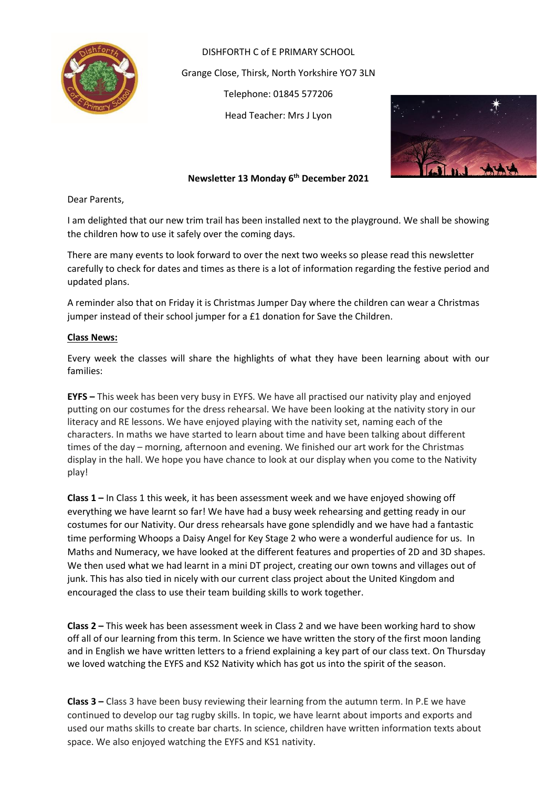

DISHFORTH C of E PRIMARY SCHOOL Grange Close, Thirsk, North Yorkshire YO7 3LN Telephone: 01845 577206 Head Teacher: Mrs J Lyon



## **Newsletter 13 Monday 6 th December 2021**

Dear Parents,

I am delighted that our new trim trail has been installed next to the playground. We shall be showing the children how to use it safely over the coming days.

There are many events to look forward to over the next two weeks so please read this newsletter carefully to check for dates and times as there is a lot of information regarding the festive period and updated plans.

A reminder also that on Friday it is Christmas Jumper Day where the children can wear a Christmas jumper instead of their school jumper for a £1 donation for Save the Children.

## **Class News:**

Every week the classes will share the highlights of what they have been learning about with our families:

**EYFS –** This week has been very busy in EYFS. We have all practised our nativity play and enjoyed putting on our costumes for the dress rehearsal. We have been looking at the nativity story in our literacy and RE lessons. We have enjoyed playing with the nativity set, naming each of the characters. In maths we have started to learn about time and have been talking about different times of the day – morning, afternoon and evening. We finished our art work for the Christmas display in the hall. We hope you have chance to look at our display when you come to the Nativity play!

**Class 1 –** In Class 1 this week, it has been assessment week and we have enjoyed showing off everything we have learnt so far! We have had a busy week rehearsing and getting ready in our costumes for our Nativity. Our dress rehearsals have gone splendidly and we have had a fantastic time performing Whoops a Daisy Angel for Key Stage 2 who were a wonderful audience for us. In Maths and Numeracy, we have looked at the different features and properties of 2D and 3D shapes. We then used what we had learnt in a mini DT project, creating our own towns and villages out of junk. This has also tied in nicely with our current class project about the United Kingdom and encouraged the class to use their team building skills to work together.

**Class 2 –** This week has been assessment week in Class 2 and we have been working hard to show off all of our learning from this term. In Science we have written the story of the first moon landing and in English we have written letters to a friend explaining a key part of our class text. On Thursday we loved watching the EYFS and KS2 Nativity which has got us into the spirit of the season.

**Class 3 –** Class 3 have been busy reviewing their learning from the autumn term. In P.E we have continued to develop our tag rugby skills. In topic, we have learnt about imports and exports and used our maths skills to create bar charts. In science, children have written information texts about space. We also enjoyed watching the EYFS and KS1 nativity.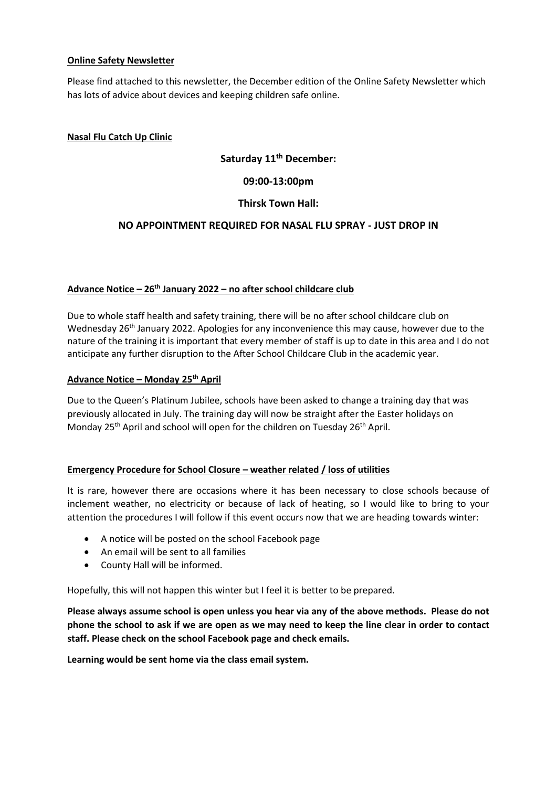## **Online Safety Newsletter**

Please find attached to this newsletter, the December edition of the Online Safety Newsletter which has lots of advice about devices and keeping children safe online.

## **Nasal Flu Catch Up Clinic**

# **Saturday 11th December:**

**09:00-13:00pm**

## **Thirsk Town Hall:**

## **NO APPOINTMENT REQUIRED FOR NASAL FLU SPRAY - JUST DROP IN**

## **Advance Notice – 26th January 2022 – no after school childcare club**

Due to whole staff health and safety training, there will be no after school childcare club on Wednesday  $26<sup>th</sup>$  January 2022. Apologies for any inconvenience this may cause, however due to the nature of the training it is important that every member of staff is up to date in this area and I do not anticipate any further disruption to the After School Childcare Club in the academic year.

#### **Advance Notice – Monday 25th April**

Due to the Queen's Platinum Jubilee, schools have been asked to change a training day that was previously allocated in July. The training day will now be straight after the Easter holidays on Monday 25<sup>th</sup> April and school will open for the children on Tuesday 26<sup>th</sup> April.

#### **Emergency Procedure for School Closure – weather related / loss of utilities**

It is rare, however there are occasions where it has been necessary to close schools because of inclement weather, no electricity or because of lack of heating, so I would like to bring to your attention the procedures I will follow if this event occurs now that we are heading towards winter:

- A notice will be posted on the school Facebook page
- An email will be sent to all families
- County Hall will be informed.

Hopefully, this will not happen this winter but I feel it is better to be prepared.

**Please always assume school is open unless you hear via any of the above methods. Please do not phone the school to ask if we are open as we may need to keep the line clear in order to contact staff. Please check on the school Facebook page and check emails.** 

**Learning would be sent home via the class email system.**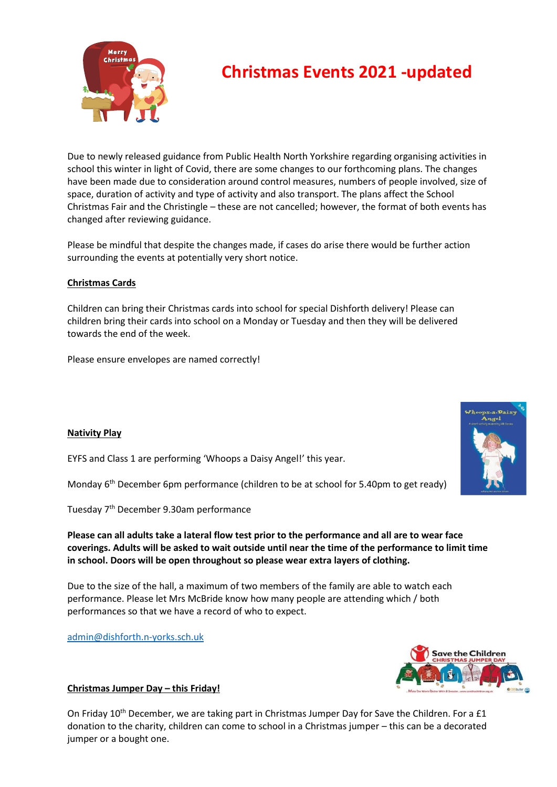

# **Christmas Events 2021 -updated**

Due to newly released guidance from Public Health North Yorkshire regarding organising activities in school this winter in light of Covid, there are some changes to our forthcoming plans. The changes have been made due to consideration around control measures, numbers of people involved, size of space, duration of activity and type of activity and also transport. The plans affect the School Christmas Fair and the Christingle – these are not cancelled; however, the format of both events has changed after reviewing guidance.

Please be mindful that despite the changes made, if cases do arise there would be further action surrounding the events at potentially very short notice.

## **Christmas Cards**

Children can bring their Christmas cards into school for special Dishforth delivery! Please can children bring their cards into school on a Monday or Tuesday and then they will be delivered towards the end of the week.

Please ensure envelopes are named correctly!

## **Nativity Play**

EYFS and Class 1 are performing 'Whoops a Daisy Angel!' this year.

Monday 6<sup>th</sup> December 6pm performance (children to be at school for 5.40pm to get ready)

Tuesday 7th December 9.30am performance

**Please can all adults take a lateral flow test prior to the performance and all are to wear face coverings. Adults will be asked to wait outside until near the time of the performance to limit time in school. Doors will be open throughout so please wear extra layers of clothing.**

Due to the size of the hall, a maximum of two members of the family are able to watch each performance. Please let Mrs McBride know how many people are attending which / both performances so that we have a record of who to expect.

[admin@dishforth.n-yorks.sch.uk](mailto:admin@dishforth.n-yorks.sch.uk)



## **Christmas Jumper Day – this Friday!**

On Friday  $10^{th}$  December, we are taking part in Christmas Jumper Day for Save the Children. For a £1 donation to the charity, children can come to school in a Christmas jumper – this can be a decorated jumper or a bought one.

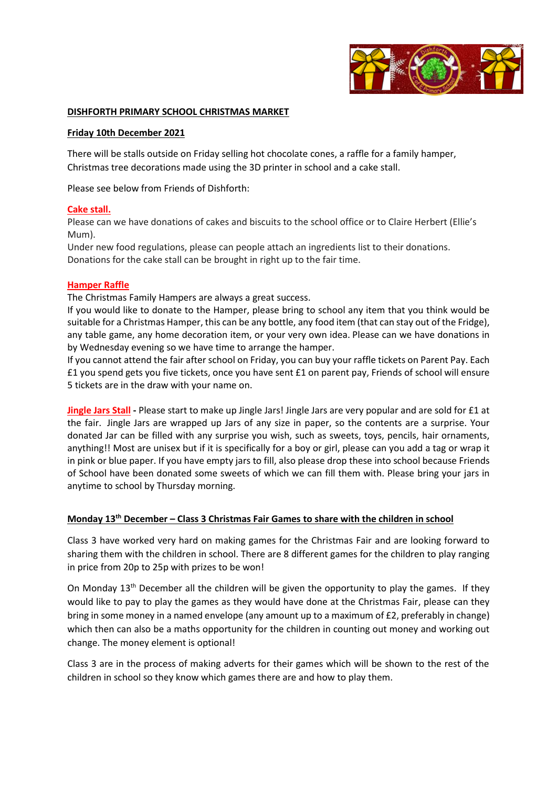

#### **DISHFORTH PRIMARY SCHOOL CHRISTMAS MARKET**

#### **Friday 10th December 2021**

There will be stalls outside on Friday selling hot chocolate cones, a raffle for a family hamper, Christmas tree decorations made using the 3D printer in school and a cake stall.

Please see below from Friends of Dishforth:

#### **Cake stall.**

Please can we have donations of cakes and biscuits to the school office or to Claire Herbert (Ellie's Mum).

Under new food regulations, please can people attach an ingredients list to their donations. Donations for the cake stall can be brought in right up to the fair time.

#### **Hamper Raffle**

The Christmas Family Hampers are always a great success.

If you would like to donate to the Hamper, please bring to school any item that you think would be suitable for a Christmas Hamper, this can be any bottle, any food item (that can stay out of the Fridge), any table game, any home decoration item, or your very own idea. Please can we have donations in by Wednesday evening so we have time to arrange the hamper.

If you cannot attend the fair after school on Friday, you can buy your raffle tickets on Parent Pay. Each £1 you spend gets you five tickets, once you have sent £1 on parent pay, Friends of school will ensure 5 tickets are in the draw with your name on.

**Jingle Jars Stall -** Please start to make up Jingle Jars! Jingle Jars are very popular and are sold for £1 at the fair. Jingle Jars are wrapped up Jars of any size in paper, so the contents are a surprise. Your donated Jar can be filled with any surprise you wish, such as sweets, toys, pencils, hair ornaments, anything!! Most are unisex but if it is specifically for a boy or girl, please can you add a tag or wrap it in pink or blue paper. If you have empty jars to fill, also please drop these into school because Friends of School have been donated some sweets of which we can fill them with. Please bring your jars in anytime to school by Thursday morning.

#### **Monday 13th December – Class 3 Christmas Fair Games to share with the children in school**

Class 3 have worked very hard on making games for the Christmas Fair and are looking forward to sharing them with the children in school. There are 8 different games for the children to play ranging in price from 20p to 25p with prizes to be won!

On Monday  $13<sup>th</sup>$  December all the children will be given the opportunity to play the games. If they would like to pay to play the games as they would have done at the Christmas Fair, please can they bring in some money in a named envelope (any amount up to a maximum of £2, preferably in change) which then can also be a maths opportunity for the children in counting out money and working out change. The money element is optional!

Class 3 are in the process of making adverts for their games which will be shown to the rest of the children in school so they know which games there are and how to play them.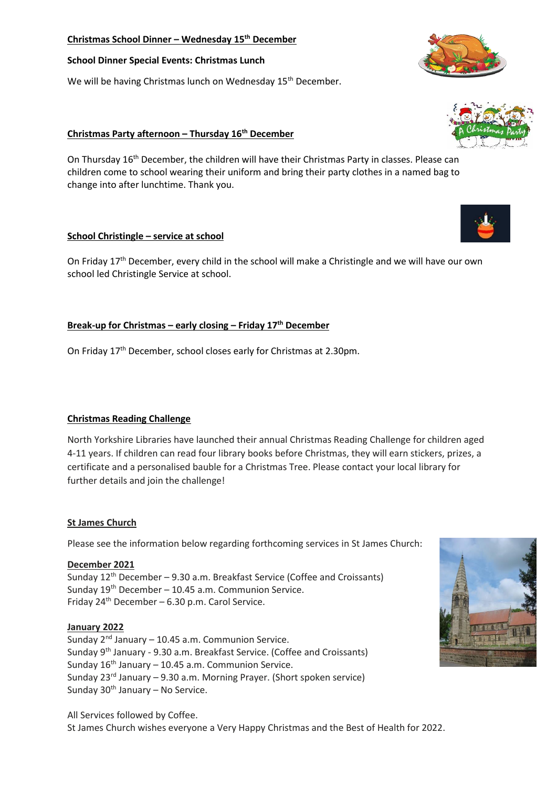## **Christmas School Dinner – Wednesday 15th December**

#### **School Dinner Special Events: Christmas Lunch**

We will be having Christmas lunch on Wednesday 15<sup>th</sup> December.

## **Christmas Party afternoon – Thursday 16th December**

On Thursday 16th December, the children will have their Christmas Party in classes. Please can children come to school wearing their uniform and bring their party clothes in a named bag to change into after lunchtime. Thank you.

## **School Christingle – service at school**

On Friday 17<sup>th</sup> December, every child in the school will make a Christingle and we will have our own school led Christingle Service at school.

## **Break-up for Christmas – early closing – Friday 17th December**

On Friday 17<sup>th</sup> December, school closes early for Christmas at 2.30pm.

## **Christmas Reading Challenge**

North Yorkshire Libraries have launched their annual Christmas Reading Challenge for children aged 4-11 years. If children can read four library books before Christmas, they will earn stickers, prizes, a certificate and a personalised bauble for a Christmas Tree. Please contact your local library for further details and join the challenge!

#### **St James Church**

Please see the information below regarding forthcoming services in St James Church:

#### **December 2021**

Sunday 12th December – 9.30 a.m. Breakfast Service (Coffee and Croissants) Sunday  $19<sup>th</sup>$  December – 10.45 a.m. Communion Service. Friday  $24^{th}$  December – 6.30 p.m. Carol Service.

#### **January 2022**

Sunday  $2^{nd}$  January – 10.45 a.m. Communion Service. Sunday 9th January - 9.30 a.m. Breakfast Service. (Coffee and Croissants) Sunday  $16<sup>th</sup>$  January – 10.45 a.m. Communion Service. Sunday 23<sup>rd</sup> January – 9.30 a.m. Morning Prayer. (Short spoken service) Sunday  $30<sup>th</sup>$  January – No Service.

All Services followed by Coffee. St James Church wishes everyone a Very Happy Christmas and the Best of Health for 2022.





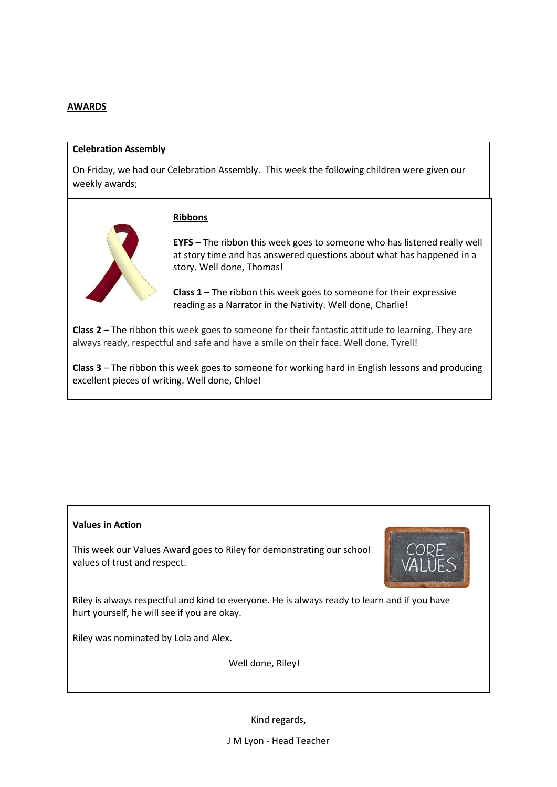#### **AWARDS**

#### **Celebration Assembly**

On Friday, we had our Celebration Assembly. This week the following children were given our weekly awards;

#### **Ribbons**



**EYFS** – The ribbon this week goes to someone who has listened really well at story time and has answered questions about what has happened in a story. Well done, Thomas!

**Class 1 –** The ribbon this week goes to someone for their expressive reading as a Narrator in the Nativity. Well done, Charlie!

**Class 2** – The ribbon this week goes to someone for their fantastic attitude to learning. They are always ready, respectful and safe and have a smile on their face. Well done, Tyrell!

**Class 3** – The ribbon this week goes to someone for working hard in English lessons and producing excellent pieces of writing. Well done, Chloe!

#### **Values in Action**

This week our Values Award goes to Riley for demonstrating our school values of trust and respect.



Riley is always respectful and kind to everyone. He is always ready to learn and if you have hurt yourself, he will see if you are okay.

Riley was nominated by Lola and Alex.

Well done, Riley!

Kind regards,

J M Lyon - Head Teacher